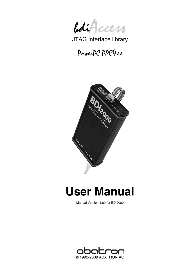

JTAG interface library

# PowerPC PPC4xx



# **User Manual**

Manual Version 1.09 for BDI2000

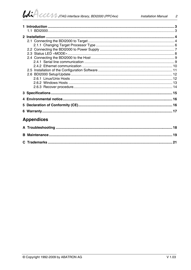# $\mathcal{U}$

| <b>Appendices</b> |  |
|-------------------|--|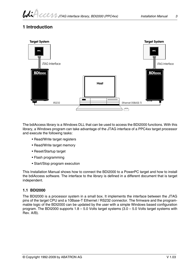# **1 Introduction**



The bdiAccess library is a Windows DLL that can be used to access the BDI2000 functions. With this library, a Windows program can take advantage of the JTAG interface of a PPC4xx target processor and execute the following tasks:

- Read/Write target registers
- Read/Write target memory
- Reset/Startup target
- Flash programming
- Start/Stop program execution

This Installation Manual shows how to connect the BDI2000 to a PowerPC target and how to install the bdiAccess software. The interface to the library is defined in a different document that is target independent.

#### **1.1 BDI2000**

The BDI2000 is a processor system in a small box. It implements the interface between the JTAG pins of the target CPU and a 10Base-T Ethernet / RS232 connector. The firmware and the programmable logic of the BDI2000 can be updated by the user with a simple Windows based configuration program. The BDI2000 supports 1.8 – 5.0 Volts target systems (3.0 – 5.0 Volts target systems with Rev. A/B).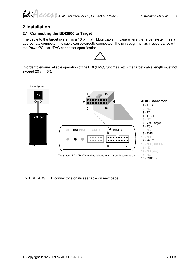### **2 Installation**

#### **2.1 Connecting the BDI2000 to Target**

The cable to the target system is a 16 pin flat ribbon cable. In case where the target system has an appropriate connector, the cable can be directly connected. The pin assignment is in accordance with the PowerPC 4xx JTAG connector specification.



In order to ensure reliable operation of the BDI (EMC, runtimes, etc.) the target cable length must not exceed 20 cm (8").



For BDI TARGET B connector signals see table on next page.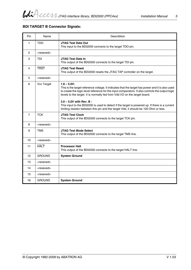#### **BDI TARGET B Connector Signals:**

| Pin            | Name                | Describtion                                                                                                                                                                                                                                                                                                                                                                                                                                                                                                                 |
|----------------|---------------------|-----------------------------------------------------------------------------------------------------------------------------------------------------------------------------------------------------------------------------------------------------------------------------------------------------------------------------------------------------------------------------------------------------------------------------------------------------------------------------------------------------------------------------|
| 1              | <b>TDO</b>          | <b>JTAG Test Data Out</b><br>This input to the BDI2000 connects to the target TDO pin.                                                                                                                                                                                                                                                                                                                                                                                                                                      |
| $\overline{2}$ | <reseved></reseved> |                                                                                                                                                                                                                                                                                                                                                                                                                                                                                                                             |
| 3              | TDI                 | JTAG Test Data In<br>This output of the BDI2000 connects to the target TDI pin.                                                                                                                                                                                                                                                                                                                                                                                                                                             |
| 4              | <b>TRST</b>         | <b>JTAG Test Reset</b><br>This output of the BDI2000 resets the JTAG TAP controller on the target.                                                                                                                                                                                                                                                                                                                                                                                                                          |
| 5              | <reseved></reseved> |                                                                                                                                                                                                                                                                                                                                                                                                                                                                                                                             |
| 6              | Vcc Target          | $1.8 - 5.0V$ :<br>This is the target reference voltage. It indicates that the target has power and it is also used<br>to create the logic-level reference for the input comparators. It also controls the output logic<br>levels to the target. It is normally fed from Vdd I/O on the target board.<br>$3.0 - 5.0V$ with Rev. B:<br>This input to the BDI2000 is used to detect if the target is powered up. If there is a current<br>limiting resistor between this pin and the target Vdd, it should be 100 Ohm or less. |
| $\overline{7}$ | <b>TCK</b>          | <b>JTAG Test Clock</b><br>This output of the BDI2000 connects to the target TCK pin.                                                                                                                                                                                                                                                                                                                                                                                                                                        |
| 8              | <reseved></reseved> |                                                                                                                                                                                                                                                                                                                                                                                                                                                                                                                             |
| 9              | TMS                 | <b>JTAG Test Mode Select</b><br>This output of the BDI2000 connects to the target TMS line.                                                                                                                                                                                                                                                                                                                                                                                                                                 |
| 10             | <reseved></reseved> |                                                                                                                                                                                                                                                                                                                                                                                                                                                                                                                             |
| 11             | <b>HALT</b>         | <b>Processor Halt</b><br>This output of the BDI2000 connects to the target HALT line.                                                                                                                                                                                                                                                                                                                                                                                                                                       |
| 12             | <b>GROUND</b>       | <b>System Ground</b>                                                                                                                                                                                                                                                                                                                                                                                                                                                                                                        |
| 13             | <reseved></reseved> |                                                                                                                                                                                                                                                                                                                                                                                                                                                                                                                             |
| 14             | <reseved></reseved> |                                                                                                                                                                                                                                                                                                                                                                                                                                                                                                                             |
| 15             | <reseved></reseved> |                                                                                                                                                                                                                                                                                                                                                                                                                                                                                                                             |
| 16             | <b>GROUND</b>       | <b>System Ground</b>                                                                                                                                                                                                                                                                                                                                                                                                                                                                                                        |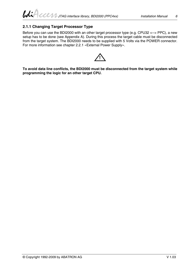#### **2.1.1 Changing Target Processor Type**

Before you can use the BDI2000 with an other target processor type (e.g. CPU32 <--> PPC), a new setup has to be done (see Appendix A). During this process the target cable must be disconnected from the target system. The BDI2000 needs to be supplied with 5 Volts via the POWER connector. For more information see chapter 2.2.1 «External Power Supply».



**To avoid data line conflicts, the BDI2000 must be disconnected from the target system while programming the logic for an other target CPU.**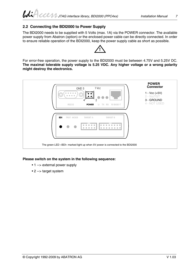#### **2.2 Connecting the BDI2000 to Power Supply**

The BDI2000 needs to be supplied with 5 Volts (max. 1A) via the POWER connector. The available power supply from Abatron (option) or the enclosed power cable can be directly connected. In order to ensure reliable operation of the BDI2000, keep the power supply cable as short as possible.



For error-free operation, the power supply to the BDI2000 must be between 4.75V and 5.25V DC. **The maximal tolerable supply voltage is 5.25 VDC. Any higher voltage or a wrong polarity might destroy the electronics.**



#### **Please switch on the system in the following sequence:**

- 1 --> external power supply
- 2 --> target system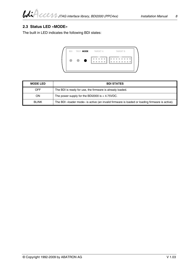#### **2.3 Status LED «MODE»**

The built in LED indicates the following BDI states:

| $\bullet$<br>$\blacksquare$<br>$\Box$ | <b>BDI</b> | TRGT MODE | <b>TARGET A</b> | <b>TARGET B</b> |
|---------------------------------------|------------|-----------|-----------------|-----------------|
|                                       |            |           |                 |                 |

| <b>MODE LED</b> | <b>BDI STATES</b>                                                                              |
|-----------------|------------------------------------------------------------------------------------------------|
| OFF             | The BDI is ready for use, the firmware is already loaded.                                      |
| ΟN              | The power supply for the BDI2000 is $<$ 4.75VDC.                                               |
| <b>BLINK</b>    | The BDI «loader mode» is active (an invalid firmware is loaded or loading firmware is active). |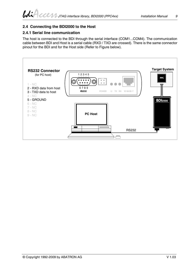#### **2.4 Connecting the BDI2000 to the Host**

#### **2.4.1 Serial line communication**

The host is connected to the BDI through the serial interface (COM1...COM4). The communication cable between BDI and Host is a serial cable (RXD / TXD are crossed). There is the same connector pinout for the BDI and for the Host side (Refer to Figure below).

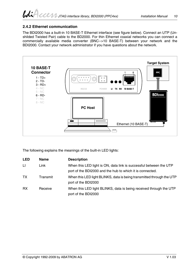### **2.4.2 Ethernet communication**

The BDI2000 has a built-in 10 BASE-T Ethernet interface (see figure below). Connect an UTP (Unshilded Twisted Pair) cable to the BD2000. For thin Ethernet coaxial networks you can connect a commercially available media converter (BNC-->10 BASE-T) between your network and the BDI2000. Contact your network administrator if you have questions about the network.



The following explains the meanings of the built-in LED lights:

| <b>LED</b> | <b>Name</b> | <b>Description</b>                                                                                                              |
|------------|-------------|---------------------------------------------------------------------------------------------------------------------------------|
| LI.        | Link        | When this LED light is ON, data link is successful between the UTP<br>port of the BDI2000 and the hub to which it is connected. |
| TX.        | Transmit    | When this LED light BLINKS, data is being transmitted through the UTP<br>port of the BDI2000                                    |
| <b>RX</b>  | Receive     | When this LED light BLINKS, data is being received through the UTP<br>port of the BDI2000                                       |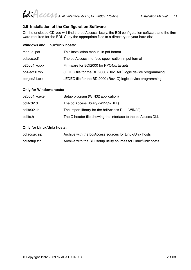#### **2.5 Installation of the Configuration Software**

On the enclosed CD you will find the bdiAccess library, the BDI configuration software and the firmware required for the BDI. Copy the appropriate files to a directory on your hard disk.

#### **Windows and Linux/Unix hosts:**

| manual.pdf   | This installation manual in pdf format                         |
|--------------|----------------------------------------------------------------|
| bdiacc.pdf   | The bdiAccess interface specification in pdf format            |
| b20pp4fw.xxx | Firmware for BDI2000 for PPC4xx targets                        |
| pp4jed20.xxx | JEDEC file for the BDI2000 (Rev. A/B) logic device programming |
| pp4jed21.xxx | JEDEC file for the BDI2000 (Rev. C) logic device programming   |

#### **Only for Windows hosts:**

| b20pp4fw.exe | Setup program (WIN32 application)                            |
|--------------|--------------------------------------------------------------|
| bdiifc32.dll | The bdiAccess library (WIN32-DLL)                            |
| bdiifc32.lib | The import library for the bdiAccess DLL (WIN32)             |
| bdiifc.h     | The C header file showing the interface to the bdiAccess DLL |

#### **Only for Linux/Unix hosts:**

| bdiaccux.zip | Archive with the bdiAccess sources for Linux/Unix hosts         |
|--------------|-----------------------------------------------------------------|
| bdisetup.zip | Archive with the BDI setup utility sources for Linux/Unix hosts |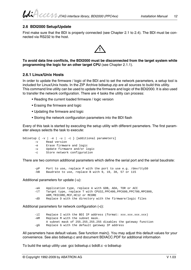#### **2.6 BDI2000 Setup/Update**

First make sure that the BDI is properly connected (see Chapter 2.1 to 2.4). The BDI must be connected via RS232 to the host.



**To avoid data line conflicts, the BDI2000 must be disconnected from the target system while programming the logic for an other target CPU** (see Chapter 2.1.1).

#### **2.6.1 Linux/Unix Hosts**

In order to update the firmware / logic of the BDI and to set the network parameters, a setup tool is included for Linux/Unix hosts. In the ZIP Archive bdisetup.zip are all sources to build this utility. This command line utility can be used to update the firmware and logic of the BDI2000. It is also used to transfer the network configuration. There are 4 tasks the utility can process:

- Reading the current loaded firmware / logic version
- Erasing the firmware and logic
- Updating the firmware and logic
- Storing the network configuration parameters into the BDI flash

Every of this task is started by executing the setup utility with different parameters. The first parameter always selects the task to execute:

bdisetup { -v | -e | -u | -c } [additional parameters]

- -v Read version
- -e Erase firmware and logic
- -u Update firmware and/or logic
- -c Store network configuration

There are two common additional parameters which define the serial port and the serial baudrate:

-pP Port to use, replace P with the port to use e.g. /dev/ttyS0 -bB Baudrate to use, replace B with 9, 19, 38, 57 or 115

#### Additional parameters for update (-u):

-aA Application type, replace A with GDB, ADA, TOR or ACC -tT Target type, replace T with CPU32,PPC400,PPC600,PPC700,MPC800, ARM,TRICORE,MCF,HC12 or MCORE -dD Replace D with the directory with the firmware/logic files

Additional parameters for network configuration (-c):

-iI Replace I with the BDI IP address (format: xxx.xxx.xxx.xxx) -mM Replace M with the subnet mask. A subnet mask of 255.255.255.255 disables the gateway function -gG Replace G with the default gateway IP address

All parameters have default values. See function main(). You may adjust this default values for your convenience. See also bdisetup.c and document BDIACC.PDF for additional information

To build the setup utility use: gcc bdisetup.c bdidll.c -o bdisetup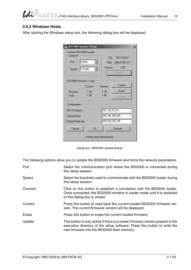#### **2.6.2 Windows Hosts**

After starting the Windows setup tool, the following dialog box will be displayed.

| 삍<br>BDI2000 Update/Setup<br>Connect BDI2000 Loader<br>Channel-<br>Port<br>Speed | COM2<br>115200<br>$\overline{\phantom{a}}$ | SN·<br>Version:                                      | $\boldsymbol{\mathsf{x}}$<br>95111242-C<br>MAC: 000C01951112<br>1.05<br>Connect |
|----------------------------------------------------------------------------------|--------------------------------------------|------------------------------------------------------|---------------------------------------------------------------------------------|
| BDI2000 Firmware / Logic                                                         | Current                                    | Newest                                               | Current                                                                         |
| Firmware<br>Logic                                                                | $1.30 -$<br>1.06                           | 1.30<br>1.06                                         | Erase<br>Update                                                                 |
| Configuration:<br><b>BDI IP Address</b><br>Subnet Mask<br>Default Gateway        |                                            | 151.120.25.101<br>255.255.255.255<br>255.255.255.255 |                                                                                 |
| Cancel                                                                           | 0k<br>Writing setup data passed            |                                                      | Transmit                                                                        |

*dialog box «BDI2000 Update/Setup»*

The following options allow you to update the BDI2000 firmware and store the network parameters:

| Port    | Select the communication port where the BDI2000 is connected during<br>this setup session.                                                                                                                 |
|---------|------------------------------------------------------------------------------------------------------------------------------------------------------------------------------------------------------------|
| Speed   | Select the baudrate used to communicate with the BDI2000 loader during<br>this setup session.                                                                                                              |
| Connect | Click on this button to establish a connection with the BDI2000 loader.<br>Once connected, the BDI2000 remains in loader mode until it is restarted<br>or this dialog box is closed.                       |
| Current | Press this button to read back the current loaded BDI2000 firmware ver-<br>sion. The current firmware version will be displayed.                                                                           |
| Erase   | Press this button to erase the current loaded firmware.                                                                                                                                                    |
| Update  | This button is only active if there is a newer firmware version present in the<br>execution directory of the setup software. Press this button to write the<br>new firmware into the BDI2000 flash memory. |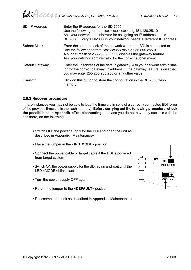| <b>BDI IP Address</b> | Enter the IP address for the BDI2000.<br>Use the following format: xxx.xxx.xxx.xxx e.g.151.120.25.101<br>Ask your network administrator for assigning an IP address to this<br>BDI2000. Every BDI2000 in your network needs a different IP address.                |
|-----------------------|--------------------------------------------------------------------------------------------------------------------------------------------------------------------------------------------------------------------------------------------------------------------|
| <b>Subnet Mask</b>    | Enter the subnet mask of the network where the BDI is connected to.<br>Use the following format: xxx.xxx.xxx.xxxe.g.255.255.255.0<br>A subnet mask of 255.255.255.255 disables the gateway feature.<br>Ask your network administrator for the correct subnet mask. |
| Default Gateway       | Enter the IP address of the default gateway. Ask your network administra-<br>tor for the correct gateway IP address. If the gateway feature is disabled,<br>you may enter 255.255.255.255 or any other value.                                                      |
| Transmit              | Click on this button to store the configuration in the BDI2000 flash<br>memory.                                                                                                                                                                                    |

#### **2.6.3 Recover procedure**

In rare instances you may not be able to load the firmware in spite of a correctly connected BDI (error of the previous firmware in the flash memory). **Before carrying out the following procedure, check the possibilities in Appendix «Troubleshooting»**. In case you do not have any success with the tips there, do the following:

• Switch OFF the power supply for the BDI and open the unit as described in Appendix «Maintenance»

| • Place the jumper in the «INIT MODE» position                                              |                                        |
|---------------------------------------------------------------------------------------------|----------------------------------------|
| • Connect the power cable or target cable if the BDI is powered<br>from target system       | ▪                                      |
| . Switch ON the power supply for the BDI again and wait until the<br>LED «MODE» blinks fast | $\circ$<br><b>INIT MODE</b><br>$\circ$ |
| • Turn the power supply OFF again                                                           | <b>DEFAULT</b>                         |
| • Return the jumper to the « <b>DEFAULT</b> » position                                      |                                        |

• Reassemble the unit as described in Appendix «Maintenance»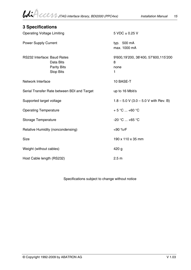# **3 Specifications**  Operating Voltage Limiting 5 VDC ± 0.25 V Power Supply Current typ. 500 mA max. 1000 mA RS232 Interface: Baud Rates 9'600,19'200, 38'400, 57'600,115'200 Data Bits 8 Parity Bits none Stop Bits 1 Network Interface 10 BASE-T Serial Transfer Rate between BDI and Target up to 16 Mbit/s Supported target voltage  $1.8 - 5.0$  V  $(3.0 - 5.0$  V with Rev. B) Operating Temperature  $+ 5 °C ... +60 °C$ Storage Temperature  $-20 °C ... +65 °C$ Relative Humidity (noncondensing)  $\leq 90 \%$ rF Size 190 x 110 x 35 mm Weight (without cables) and the state of the 420 g Host Cable length (RS232) 2.5 m

Specifications subject to change without notice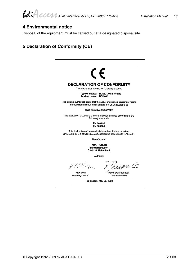## **4 Environmental notice**

Disposal of the equipment must be carried out at a designated disposal site.

# **5 Declaration of Conformity (CE)**

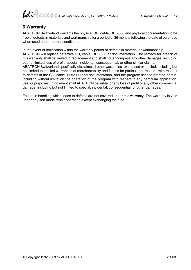## **6 Warranty**

ABATRON Switzerland warrants the physical CD, cable, BDI2000 and physical documentation to be free of defects in materials and workmanship for a period of 36 months following the date of purchase when used under normal conditions.

In the event of notification within the warranty period of defects in material or workmanship, ABATRON will replace defective CD, cable, BDI2000 or documentation. The remedy for breach of this warranty shall be limited to replacement and shall not encompass any other damages, including but not limited loss of profit, special, incidental, consequential, or other similar claims. ABATRON Switzerland specifically disclaims all other warranties- expressed or implied, including but not limited to implied warranties of merchantability and fitness for particular purposes - with respect to defects in the CD, cable, BDI2000 and documentation, and the program license granted herein, including without limitation the operation of the program with respect to any particular application, use, or purposes. In no event shall ABATRON be liable for any loss of profit or any other commercial

Failure in handling which leads to defects are not covered under this warranty. The warranty is void under any self-made repair operation except exchanging the fuse.

damage, including but not limited to special, incidental, consequential, or other damages.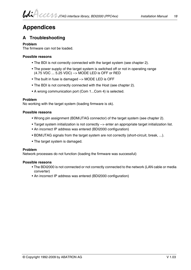# **Appendices**

# **A Troubleshooting**

#### **Problem**

The firmware can not be loaded.

#### **Possible reasons**

- The BDI is not correctly connected with the target system (see chapter 2).
- The power supply of the target system is switched off or not in operating range (4.75 VDC ... 5.25 VDC) --> MODE LED is OFF or RED
- The built in fuse is damaged --> MODE LED is OFF
- The BDI is not correctly connected with the Host (see chapter 2).
- A wrong communication port (Com 1...Com 4) is selected.

#### **Problem**

No working with the target system (loading firmware is ok).

#### **Possible reasons**

- Wrong pin assignment (BDM/JTAG connector) of the target system (see chapter 2).
- Target system initialization is not correctly --> enter an appropriate target initialization list.
- An incorrect IP address was entered (BDI2000 configuration)
- BDM/JTAG signals from the target system are not correctly (short-circuit, break, ...).
- The target system is damaged.

#### **Problem**

Network processes do not function (loading the firmware was successful)

#### **Possible reasons**

- The BDI2000 is not connected or not correctly connected to the network (LAN cable or media converter)
- An incorrect IP address was entered (BDI2000 configuration)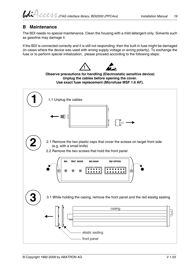# **B Maintenance**

The BDI needs no special maintenance. Clean the housing with a mild detergent only. Solvents such as gasoline may damage it.

If the BDI is connected correctly and it is still not responding, then the built in fuse might be damaged (in cases where the device was used with wrong supply voltage or wrong polarity). To exchange the fuse or to perform special initialization, please proceed according to the following steps:

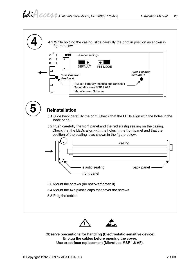

**Observe precautions for handling (Electrostatic sensitive device) Unplug the cables before opening the cover. Use exact fuse replacement (Microfuse MSF 1.6 AF).**